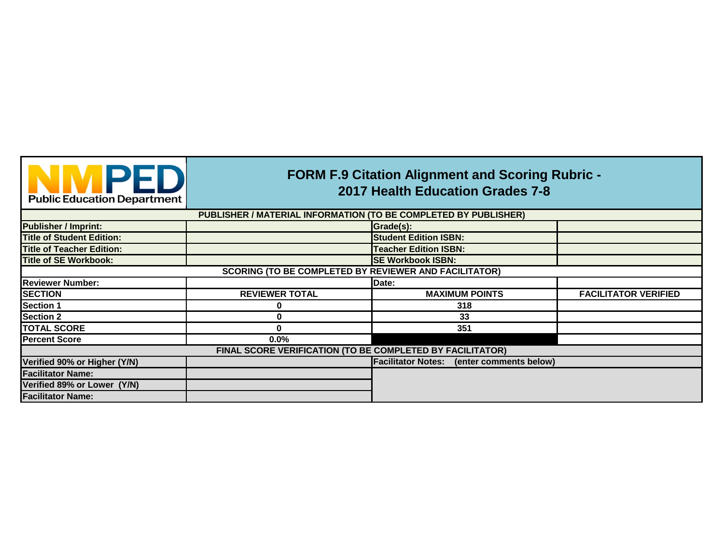

## **FORM F.9 Citation Alignment and Scoring Rubric - 2017 Health Education Grades 7-8**

|                                  | PUBLISHER / MATERIAL INFORMATION (TO BE COMPLETED BY PUBLISHER) |                                                     |                             |
|----------------------------------|-----------------------------------------------------------------|-----------------------------------------------------|-----------------------------|
| <b>Publisher / Imprint:</b>      |                                                                 | Grade(s):                                           |                             |
| <b>Title of Student Edition:</b> |                                                                 | <b>Student Edition ISBN:</b>                        |                             |
| <b>Title of Teacher Edition:</b> |                                                                 | <b>Teacher Edition ISBN:</b>                        |                             |
| <b>Title of SE Workbook:</b>     |                                                                 | <b>SE Workbook ISBN:</b>                            |                             |
|                                  | <b>SCORING (TO BE COMPLETED BY REVIEWER AND FACILITATOR)</b>    |                                                     |                             |
| <b>Reviewer Number:</b>          |                                                                 | Date:                                               |                             |
| <b>SECTION</b>                   | <b>REVIEWER TOTAL</b>                                           | <b>MAXIMUM POINTS</b>                               | <b>FACILITATOR VERIFIED</b> |
| <b>Section 1</b>                 | 0                                                               | 318                                                 |                             |
| <b>Section 2</b>                 | 0                                                               | 33                                                  |                             |
| <b>TOTAL SCORE</b>               | $\mathbf 0$                                                     | 351                                                 |                             |
| <b>Percent Score</b>             | 0.0%                                                            |                                                     |                             |
|                                  | FINAL SCORE VERIFICATION (TO BE COMPLETED BY FACILITATOR)       |                                                     |                             |
| Verified 90% or Higher (Y/N)     |                                                                 | <b>Facilitator Notes:</b><br>(enter comments below) |                             |
| <b>Facilitator Name:</b>         |                                                                 |                                                     |                             |
| Verified 89% or Lower (Y/N)      |                                                                 |                                                     |                             |
| <b>Facilitator Name:</b>         |                                                                 |                                                     |                             |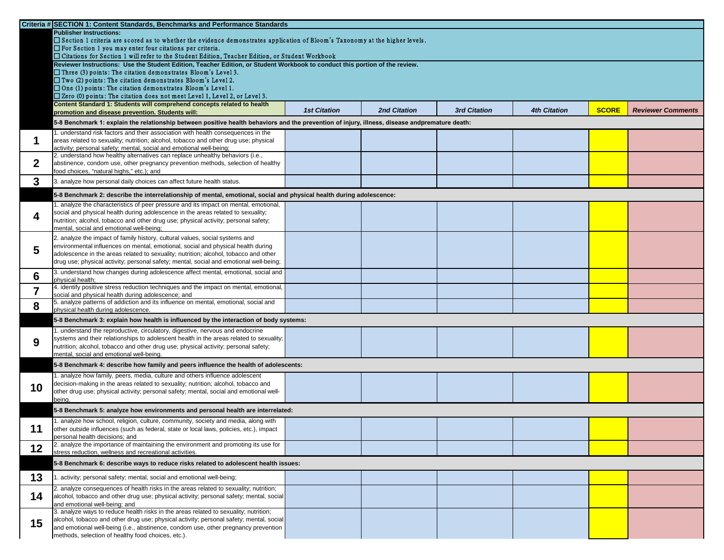|             | Criteria # SECTION 1: Content Standards, Benchmarks and Performance Standards                                                                                                  |                     |                     |                     |                     |              |                          |
|-------------|--------------------------------------------------------------------------------------------------------------------------------------------------------------------------------|---------------------|---------------------|---------------------|---------------------|--------------|--------------------------|
|             | <b>Publisher Instructions:</b>                                                                                                                                                 |                     |                     |                     |                     |              |                          |
|             | □ Section 1 criteria are scored as to whether the evidence demonstrates application of Bloom's Taxonomy at the higher levels.                                                  |                     |                     |                     |                     |              |                          |
|             | $\Box$ For Section 1 you may enter four citations per criteria.<br>$\square$ Citations for Section 1 will refer to the Student Edition, Teacher Edition, or Student Workbook   |                     |                     |                     |                     |              |                          |
|             | Reviewer Instructions: Use the Student Edition, Teacher Edition, or Student Workbook to conduct this portion of the review.                                                    |                     |                     |                     |                     |              |                          |
|             | $\Box$ Three (3) points: The citation demonstrates Bloom's Level 3.                                                                                                            |                     |                     |                     |                     |              |                          |
|             | $\Box$ Two (2) points: The citation demonstrates Bloom's Level 2.                                                                                                              |                     |                     |                     |                     |              |                          |
|             | $\Box$ One (1) points: The citation demonstrates Bloom's Level 1.<br>$\square$ Zero (0) points: The citation does not meet Level 1, Level 2, or Level 3.                       |                     |                     |                     |                     |              |                          |
|             | Content Standard 1: Students will comprehend concepts related to health                                                                                                        |                     |                     |                     |                     |              |                          |
|             | promotion and disease prevention. Students will:                                                                                                                               | <b>1st Citation</b> | <b>2nd Citation</b> | <b>3rd Citation</b> | <b>4th Citation</b> | <b>SCORE</b> | <b>Reviewer Comments</b> |
|             | 5-8 Benchmark 1: explain the relationship between positive health behaviors and the prevention of injury, illness, disease andpremature death:                                 |                     |                     |                     |                     |              |                          |
|             | . understand risk factors and their association with health consequences in the                                                                                                |                     |                     |                     |                     |              |                          |
|             | areas related to sexuality; nutrition; alcohol, tobacco and other drug use; physical                                                                                           |                     |                     |                     |                     |              |                          |
|             | activity; personal safety; mental, social and emotional well-being;<br>2. understand how healthy alternatives can replace unhealthy behaviors (i.e.,                           |                     |                     |                     |                     |              |                          |
| $\mathbf 2$ | abstinence, condom use, other pregnancy prevention methods, selection of healthy                                                                                               |                     |                     |                     |                     |              |                          |
|             | food choices, "natural highs," etc.); and                                                                                                                                      |                     |                     |                     |                     |              |                          |
| 3           | 3. analyze how personal daily choices can affect future health status.                                                                                                         |                     |                     |                     |                     |              |                          |
|             | 5-8 Benchmark 2: describe the interrelationship of mental, emotional, social and physical health during adolescence:                                                           |                     |                     |                     |                     |              |                          |
|             | . analyze the characteristics of peer pressure and its impact on mental, emotional,                                                                                            |                     |                     |                     |                     |              |                          |
|             | social and physical health during adolescence in the areas related to sexuality;<br>nutrition; alcohol, tobacco and other drug use; physical activity; personal safety;        |                     |                     |                     |                     |              |                          |
|             | mental, social and emotional well-being;                                                                                                                                       |                     |                     |                     |                     |              |                          |
|             | 2. analyze the impact of family history, cultural values, social systems and                                                                                                   |                     |                     |                     |                     |              |                          |
| 5           | environmental influences on mental, emotional, social and physical health during                                                                                               |                     |                     |                     |                     |              |                          |
|             | adolescence in the areas related to sexuality; nutrition; alcohol, tobacco and other<br>drug use; physical activity; personal safety; mental, social and emotional well-being; |                     |                     |                     |                     |              |                          |
|             | 3. understand how changes during adolescence affect mental, emotional, social and                                                                                              |                     |                     |                     |                     |              |                          |
| 6           | physical health;                                                                                                                                                               |                     |                     |                     |                     |              |                          |
|             | 4. identify positive stress reduction techniques and the impact on mental, emotional,<br>social and physical health during adolescence; and                                    |                     |                     |                     |                     |              |                          |
| 8           | 5. analyze patterns of addiction and its influence on mental, emotional, social and<br>physical health during adolescence.                                                     |                     |                     |                     |                     |              |                          |
|             | 5-8 Benchmark 3: explain how health is influenced by the interaction of body systems:                                                                                          |                     |                     |                     |                     |              |                          |
|             | . understand the reproductive, circulatory, digestive, nervous and endocrine                                                                                                   |                     |                     |                     |                     |              |                          |
| 9           | systems and their relationships to adolescent health in the areas related to sexuality;                                                                                        |                     |                     |                     |                     |              |                          |
|             | nutrition; alcohol, tobacco and other drug use; physical activity; personal safety;                                                                                            |                     |                     |                     |                     |              |                          |
|             | mental, social and emotional well-being.                                                                                                                                       |                     |                     |                     |                     |              |                          |
|             | 5-8 Benchmark 4: describe how family and peers influence the health of adolescents:                                                                                            |                     |                     |                     |                     |              |                          |
|             | . analyze how family, peers, media, culture and others influence adolescent<br>decision-making in the areas related to sexuality; nutrition; alcohol, tobacco and              |                     |                     |                     |                     |              |                          |
| <b>10</b>   | other drug use; physical activity; personal safety; mental, social and emotional well-                                                                                         |                     |                     |                     |                     |              |                          |
|             | being.                                                                                                                                                                         |                     |                     |                     |                     |              |                          |
|             | 5-8 Benchmark 5: analyze how environments and personal health are interrelated:                                                                                                |                     |                     |                     |                     |              |                          |
|             | . analyze how school, religion, culture, community, society and media, along with                                                                                              |                     |                     |                     |                     |              |                          |
| 11          | other outside influences (such as federal, state or local laws, policies, etc.), impact                                                                                        |                     |                     |                     |                     |              |                          |
|             | personal health decisions; and<br>2. analyze the importance of maintaining the environment and promoting its use for                                                           |                     |                     |                     |                     |              |                          |
| 12          | stress reduction, wellness and recreational activities.                                                                                                                        |                     |                     |                     |                     |              |                          |
|             | 5-8 Benchmark 6: describe ways to reduce risks related to adolescent health issues:                                                                                            |                     |                     |                     |                     |              |                          |
| 13          | . activity; personal safety; mental, social and emotional well-being;                                                                                                          |                     |                     |                     |                     |              |                          |
|             | 2. analyze consequences of health risks in the areas related to sexuality; nutrition;                                                                                          |                     |                     |                     |                     |              |                          |
| 14          | alcohol, tobacco and other drug use; physical activity; personal safety; mental, social                                                                                        |                     |                     |                     |                     |              |                          |
|             | and emotional well-being; and<br>3. analyze ways to reduce health risks in the areas related to sexuality; nutrition;                                                          |                     |                     |                     |                     |              |                          |
|             | alcohol, tobacco and other drug use; physical activity; personal safety; mental, social                                                                                        |                     |                     |                     |                     |              |                          |
| 15          | and emotional well-being (i.e., abstinence, condom use, other pregnancy prevention                                                                                             |                     |                     |                     |                     |              |                          |
|             | methods, selection of healthy food choices, etc.).                                                                                                                             |                     |                     |                     |                     |              |                          |

|  | <b>4th Citation</b> | <b>SCORE</b> | <b>Reviewer Comments</b> |  |
|--|---------------------|--------------|--------------------------|--|
|  |                     |              |                          |  |
|  |                     |              |                          |  |
|  |                     |              |                          |  |
|  |                     |              |                          |  |
|  |                     |              |                          |  |
|  |                     |              |                          |  |
|  |                     |              |                          |  |
|  |                     |              |                          |  |
|  |                     |              |                          |  |
|  |                     |              |                          |  |
|  |                     |              |                          |  |
|  |                     |              |                          |  |
|  |                     |              |                          |  |
|  |                     |              |                          |  |
|  |                     |              |                          |  |
|  |                     |              |                          |  |
|  |                     |              |                          |  |
|  |                     |              |                          |  |
|  |                     |              |                          |  |
|  |                     |              |                          |  |
|  |                     |              |                          |  |
|  |                     |              |                          |  |
|  |                     |              |                          |  |
|  |                     |              |                          |  |
|  |                     |              |                          |  |
|  |                     |              |                          |  |
|  |                     |              |                          |  |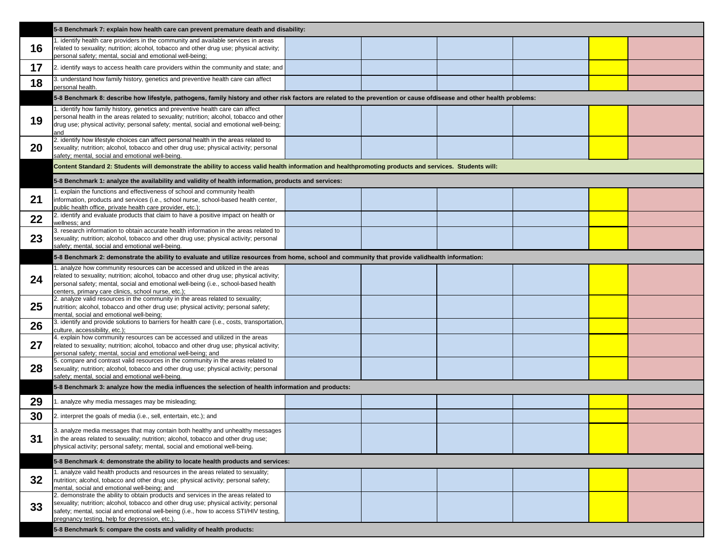|    | 5-8 Benchmark 7: explain how health care can prevent premature death and disability:                                                                                                                                                                                                                                    |  |  |
|----|-------------------------------------------------------------------------------------------------------------------------------------------------------------------------------------------------------------------------------------------------------------------------------------------------------------------------|--|--|
| 16 | 1. identify health care providers in the community and available services in areas<br>related to sexuality; nutrition; alcohol, tobacco and other drug use; physical activity;<br>personal safety; mental, social and emotional well-being;                                                                             |  |  |
| 17 | [2. identify ways to access health care providers within the community and state; and                                                                                                                                                                                                                                   |  |  |
| 18 | 3. understand how family history, genetics and preventive health care can affect<br>personal health.                                                                                                                                                                                                                    |  |  |
|    | 5-8 Benchmark 8: describe how lifestyle, pathogens, family history and other risk factors are related to the prevention or cause ofdisease and other health problems:                                                                                                                                                   |  |  |
| 19 | 1. identify how family history, genetics and preventive health care can affect<br>personal health in the areas related to sexuality; nutrition; alcohol, tobacco and other<br>drug use; physical activity; personal safety; mental, social and emotional well-being;<br>and                                             |  |  |
| 20 | 2. identify how lifestyle choices can affect personal health in the areas related to<br>sexuality; nutrition; alcohol, tobacco and other drug use; physical activity; personal<br>safety; mental, social and emotional well-being.                                                                                      |  |  |
|    | Content Standard 2: Students will demonstrate the ability to access valid health information and healthpromoting products and services. Students will:                                                                                                                                                                  |  |  |
|    | 5-8 Benchmark 1: analyze the availability and validity of health information, products and services:                                                                                                                                                                                                                    |  |  |
| 21 | 1. explain the functions and effectiveness of school and community health<br>information, products and services (i.e., school nurse, school-based health center,<br>public health office, private health care provider, etc.);                                                                                          |  |  |
| 22 | 2. identify and evaluate products that claim to have a positive impact on health or<br>wellness; and                                                                                                                                                                                                                    |  |  |
| 23 | 3. research information to obtain accurate health information in the areas related to<br>sexuality; nutrition; alcohol, tobacco and other drug use; physical activity; personal<br>safety; mental, social and emotional well-being.                                                                                     |  |  |
|    | 5-8 Benchmark 2: demonstrate the ability to evaluate and utilize resources from home, school and community that provide validhealth information:                                                                                                                                                                        |  |  |
| 24 | 1. analyze how community resources can be accessed and utilized in the areas<br>related to sexuality; nutrition; alcohol, tobacco and other drug use; physical activity;<br>personal safety; mental, social and emotional well-being (i.e., school-based health<br>centers, primary care clinics, school nurse, etc.);  |  |  |
| 25 | 2. analyze valid resources in the community in the areas related to sexuality;<br>nutrition; alcohol, tobacco and other drug use; physical activity; personal safety;<br>mental, social and emotional well-being;                                                                                                       |  |  |
| 26 | 3. identify and provide solutions to barriers for health care (i.e., costs, transportation,<br>culture, accessibility, etc.);                                                                                                                                                                                           |  |  |
| 27 | 4. explain how community resources can be accessed and utilized in the areas<br>related to sexuality; nutrition; alcohol, tobacco and other drug use; physical activity;<br>personal safety; mental, social and emotional well-being; and                                                                               |  |  |
| 28 | 5. compare and contrast valid resources in the community in the areas related to<br>sexuality; nutrition; alcohol, tobacco and other drug use; physical activity; personal<br>safety; mental, social and emotional well-being.                                                                                          |  |  |
|    | 5-8 Benchmark 3: analyze how the media influences the selection of health information and products:                                                                                                                                                                                                                     |  |  |
| 29 | 1. analyze why media messages may be misleading;                                                                                                                                                                                                                                                                        |  |  |
| 30 | 2. interpret the goals of media (i.e., sell, entertain, etc.); and                                                                                                                                                                                                                                                      |  |  |
| 31 | 3. analyze media messages that may contain both healthy and unhealthy messages<br>in the areas related to sexuality; nutrition; alcohol, tobacco and other drug use;<br>physical activity; personal safety; mental, social and emotional well-being.                                                                    |  |  |
|    | 5-8 Benchmark 4: demonstrate the ability to locate health products and services:                                                                                                                                                                                                                                        |  |  |
| 32 | 1. analyze valid health products and resources in the areas related to sexuality;<br>nutrition; alcohol, tobacco and other drug use; physical activity; personal safety;<br>mental, social and emotional well-being; and                                                                                                |  |  |
| 33 | 2. demonstrate the ability to obtain products and services in the areas related to<br>sexuality; nutrition; alcohol, tobacco and other drug use; physical activity; personal<br>safety; mental, social and emotional well-being (i.e., how to access STI/HIV testing,<br>pregnancy testing, help for depression, etc.). |  |  |
|    | 5-8 Benchmark 5: compare the costs and validity of health products:                                                                                                                                                                                                                                                     |  |  |

| h problems <mark>:</mark> |  |
|---------------------------|--|
|                           |  |
|                           |  |
|                           |  |
|                           |  |
|                           |  |
|                           |  |
|                           |  |
|                           |  |
|                           |  |
|                           |  |
|                           |  |
|                           |  |
|                           |  |
|                           |  |
|                           |  |
|                           |  |
|                           |  |
|                           |  |
|                           |  |
|                           |  |
|                           |  |
|                           |  |
|                           |  |
|                           |  |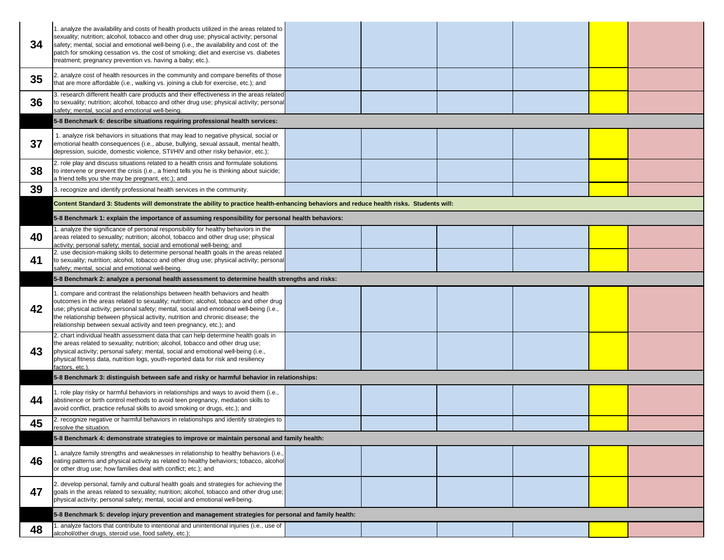| 34 | 1. analyze the availability and costs of health products utilized in the areas related to<br>sexuality; nutrition; alcohol, tobacco and other drug use; physical activity; personal<br>safety; mental, social and emotional well-being (i.e., the availability and cost of: the<br>patch for smoking cessation vs. the cost of smoking; diet and exercise vs. diabetes<br>treatment; pregnancy prevention vs. having a baby; etc.). |  |  |
|----|-------------------------------------------------------------------------------------------------------------------------------------------------------------------------------------------------------------------------------------------------------------------------------------------------------------------------------------------------------------------------------------------------------------------------------------|--|--|
| 35 | 2. analyze cost of health resources in the community and compare benefits of those<br>that are more affordable (i.e., walking vs. joining a club for exercise, etc.); and                                                                                                                                                                                                                                                           |  |  |
| 36 | 3. research different health care products and their effectiveness in the areas related<br>to sexuality; nutrition; alcohol, tobacco and other drug use; physical activity; personal<br>safety; mental, social and emotional well-being.                                                                                                                                                                                            |  |  |
|    | 5-8 Benchmark 6: describe situations requiring professional health services:                                                                                                                                                                                                                                                                                                                                                        |  |  |
| 37 | 1. analyze risk behaviors in situations that may lead to negative physical, social or<br>emotional health consequences (i.e., abuse, bullying, sexual assault, mental health,<br>depression, suicide, domestic violence, STI/HIV and other risky behavior, etc.);                                                                                                                                                                   |  |  |
| 38 | 2. role play and discuss situations related to a health crisis and formulate solutions<br>to intervene or prevent the crisis (i.e., a friend tells you he is thinking about suicide;<br>a friend tells you she may be pregnant, etc.); and                                                                                                                                                                                          |  |  |
| 39 | 3. recognize and identify professional health services in the community.                                                                                                                                                                                                                                                                                                                                                            |  |  |
|    | Content Standard 3: Students will demonstrate the ability to practice health-enhancing behaviors and reduce health risks. Students will:                                                                                                                                                                                                                                                                                            |  |  |
|    | 5-8 Benchmark 1: explain the importance of assuming responsibility for personal health behaviors:                                                                                                                                                                                                                                                                                                                                   |  |  |
| 40 | 1. analyze the significance of personal responsibility for healthy behaviors in the<br>areas related to sexuality; nutrition; alcohol, tobacco and other drug use; physical<br>activity; personal safety; mental, social and emotional well-being; and                                                                                                                                                                              |  |  |
| 41 | 2. use decision-making skills to determine personal health goals in the areas related<br>to sexuality; nutrition; alcohol, tobacco and other drug use; physical activity; personal<br>safety; mental, social and emotional well-being.                                                                                                                                                                                              |  |  |
|    | 5-8 Benchmark 2: analyze a personal health assessment to determine health strengths and risks:                                                                                                                                                                                                                                                                                                                                      |  |  |
| 42 | 1. compare and contrast the relationships between health behaviors and health<br>outcomes in the areas related to sexuality; nutrition; alcohol, tobacco and other drug<br>use; physical activity; personal safety; mental, social and emotional well-being (i.e.,<br>the relationship between physical activity, nutrition and chronic disease; the<br>relationship between sexual activity and teen pregnancy, etc.); and         |  |  |
| 43 | 2. chart individual health assessment data that can help determine health goals in<br>the areas related to sexuality; nutrition; alcohol, tobacco and other drug use;<br>physical activity; personal safety; mental, social and emotional well-being (i.e.,<br>physical fitness data, nutrition logs, youth-reported data for risk and resiliency<br>factors, etc.).                                                                |  |  |
|    | 5-8 Benchmark 3: distinguish between safe and risky or harmful behavior in relationships:                                                                                                                                                                                                                                                                                                                                           |  |  |
| 44 | 1. role play risky or harmful behaviors in relationships and ways to avoid them (i.e.,<br>abstinence or birth control methods to avoid teen pregnancy, mediation skills to<br>avoid conflict, practice refusal skills to avoid smoking or drugs, etc.); and                                                                                                                                                                         |  |  |
| 45 | 2. recognize negative or harmful behaviors in relationships and identify strategies to<br>resolve the situation.                                                                                                                                                                                                                                                                                                                    |  |  |
|    | 5-8 Benchmark 4: demonstrate strategies to improve or maintain personal and family health:                                                                                                                                                                                                                                                                                                                                          |  |  |
| 46 | 1. analyze family strengths and weaknesses in relationship to healthy behaviors (i.e.,<br>eating patterns and physical activity as related to healthy behaviors; tobacco, alcohol<br>or other drug use; how families deal with conflict; etc.); and                                                                                                                                                                                 |  |  |
| 47 | 2. develop personal, family and cultural health goals and strategies for achieving the<br>goals in the areas related to sexuality; nutrition; alcohol, tobacco and other drug use;<br>physical activity; personal safety; mental, social and emotional well-being.                                                                                                                                                                  |  |  |
|    | 5-8 Benchmark 5: develop injury prevention and management strategies for personal and family health:                                                                                                                                                                                                                                                                                                                                |  |  |
| 48 | 1. analyze factors that contribute to intentional and unintentional injuries (i.e., use of<br>alcohol/other drugs, steroid use, food safety, etc.);                                                                                                                                                                                                                                                                                 |  |  |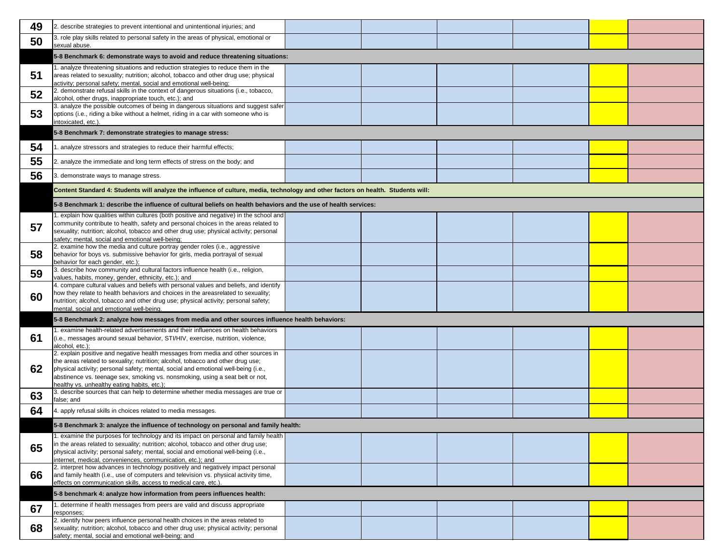| 49 | 2. describe strategies to prevent intentional and unintentional injuries; and                                                                                                                                                                                                                                                                                                             |  |  |
|----|-------------------------------------------------------------------------------------------------------------------------------------------------------------------------------------------------------------------------------------------------------------------------------------------------------------------------------------------------------------------------------------------|--|--|
| 50 | 3. role play skills related to personal safety in the areas of physical, emotional or<br>sexual abuse.                                                                                                                                                                                                                                                                                    |  |  |
|    | 5-8 Benchmark 6: demonstrate ways to avoid and reduce threatening situations:                                                                                                                                                                                                                                                                                                             |  |  |
| 51 | 1. analyze threatening situations and reduction strategies to reduce them in the<br>areas related to sexuality; nutrition; alcohol, tobacco and other drug use; physical<br>activity; personal safety; mental, social and emotional well-being;                                                                                                                                           |  |  |
| 52 | 2. demonstrate refusal skills in the context of dangerous situations (i.e., tobacco,<br>alcohol, other drugs, inappropriate touch, etc.); and<br>3. analyze the possible outcomes of being in dangerous situations and suggest safer                                                                                                                                                      |  |  |
| 53 | options (i.e., riding a bike without a helmet, riding in a car with someone who is<br>intoxicated, etc.).                                                                                                                                                                                                                                                                                 |  |  |
|    | 5-8 Benchmark 7: demonstrate strategies to manage stress:                                                                                                                                                                                                                                                                                                                                 |  |  |
| 54 | 1. analyze stressors and strategies to reduce their harmful effects;                                                                                                                                                                                                                                                                                                                      |  |  |
| 55 | 2. analyze the immediate and long term effects of stress on the body; and                                                                                                                                                                                                                                                                                                                 |  |  |
| 56 | 3. demonstrate ways to manage stress.                                                                                                                                                                                                                                                                                                                                                     |  |  |
|    | Content Standard 4: Students will analyze the influence of culture, media, technology and other factors on health. Students will:                                                                                                                                                                                                                                                         |  |  |
|    | 5-8 Benchmark 1: describe the influence of cultural beliefs on health behaviors and the use of health services:                                                                                                                                                                                                                                                                           |  |  |
| 57 | 1. explain how qualities within cultures (both positive and negative) in the school and<br>community contribute to health, safety and personal choices in the areas related to<br>sexuality; nutrition; alcohol, tobacco and other drug use; physical activity; personal<br>safety; mental, social and emotional well-being;                                                              |  |  |
| 58 | 2. examine how the media and culture portray gender roles (i.e., aggressive<br>behavior for boys vs. submissive behavior for girls, media portrayal of sexual<br>behavior for each gender, etc.);                                                                                                                                                                                         |  |  |
| 59 | 3. describe how community and cultural factors influence health (i.e., religion,<br>values, habits, money, gender, ethnicity, etc.); and                                                                                                                                                                                                                                                  |  |  |
| 60 | 4. compare cultural values and beliefs with personal values and beliefs, and identify<br>how they relate to health behaviors and choices in the areasrelated to sexuality;<br>nutrition; alcohol, tobacco and other drug use; physical activity; personal safety;<br>mental, social and emotional well-being.                                                                             |  |  |
|    | 5-8 Benchmark 2: analyze how messages from media and other sources influence health behaviors:                                                                                                                                                                                                                                                                                            |  |  |
| 61 | 1. examine health-related advertisements and their influences on health behaviors<br>(i.e., messages around sexual behavior, STI/HIV, exercise, nutrition, violence,<br>alcohol, etc.);                                                                                                                                                                                                   |  |  |
| 62 | 2. explain positive and negative health messages from media and other sources in<br>the areas related to sexuality; nutrition; alcohol, tobacco and other drug use;<br>physical activity; personal safety; mental, social and emotional well-being (i.e.,<br>abstinence vs. teenage sex, smoking vs. nonsmoking, using a seat belt or not,<br>healthy vs. unhealthy eating habits, etc.); |  |  |
| 63 | 3. describe sources that can help to determine whether media messages are true or<br>false; and                                                                                                                                                                                                                                                                                           |  |  |
| 64 | 4. apply refusal skills in choices related to media messages.                                                                                                                                                                                                                                                                                                                             |  |  |
|    | 5-8 Benchmark 3: analyze the influence of technology on personal and family health:                                                                                                                                                                                                                                                                                                       |  |  |
|    | 1. examine the purposes for technology and its impact on personal and family health<br>in the areas related to sexuality; nutrition; alcohol, tobacco and other drug use;                                                                                                                                                                                                                 |  |  |
| 65 | physical activity; personal safety; mental, social and emotional well-being (i.e.,<br>internet, medical, conveniences, communication, etc.); and                                                                                                                                                                                                                                          |  |  |
| 66 | 2. interpret how advances in technology positively and negatively impact personal<br>and family health (i.e., use of computers and television vs. physical activity time,<br>effects on communication skills, access to medical care, etc.)                                                                                                                                               |  |  |
|    | 5-8 benchmark 4: analyze how information from peers influences health:                                                                                                                                                                                                                                                                                                                    |  |  |
| 67 | 1. determine if health messages from peers are valid and discuss appropriate<br>responses;                                                                                                                                                                                                                                                                                                |  |  |
| 68 | 2. identify how peers influence personal health choices in the areas related to<br>sexuality; nutrition; alcohol, tobacco and other drug use; physical activity; personal<br>safety; mental, social and emotional well-being; and                                                                                                                                                         |  |  |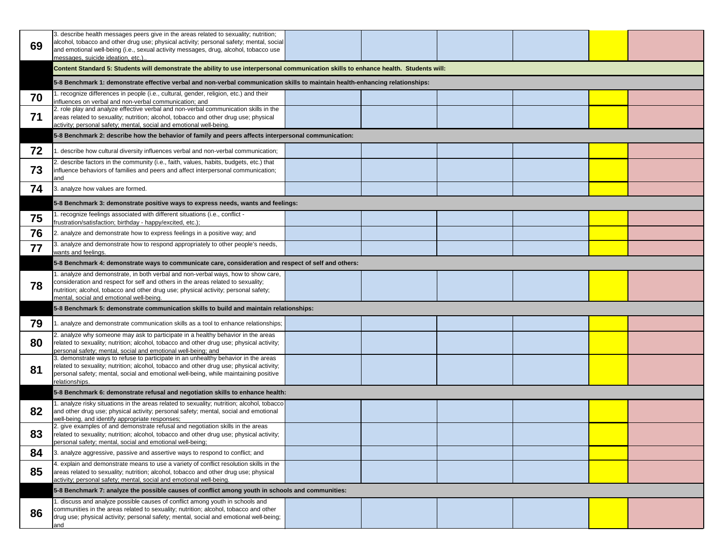|    | 3. describe health messages peers give in the areas related to sexuality; nutrition;<br>alcohol, tobacco and other drug use; physical activity; personal safety; mental, social                                                                                                                          |  |  |
|----|----------------------------------------------------------------------------------------------------------------------------------------------------------------------------------------------------------------------------------------------------------------------------------------------------------|--|--|
| 69 | and emotional well-being (i.e., sexual activity messages, drug, alcohol, tobacco use                                                                                                                                                                                                                     |  |  |
|    | messages, suicide ideation, etc.)                                                                                                                                                                                                                                                                        |  |  |
|    | Content Standard 5: Students will demonstrate the ability to use interpersonal communication skills to enhance health. Students will:                                                                                                                                                                    |  |  |
|    | 5-8 Benchmark 1: demonstrate effective verbal and non-verbal communication skills to maintain health-enhancing relationships:                                                                                                                                                                            |  |  |
| 70 | 1. recognize differences in people (i.e., cultural, gender, religion, etc.) and their<br>influences on verbal and non-verbal communication; and                                                                                                                                                          |  |  |
| 71 | 2. role play and analyze effective verbal and non-verbal communication skills in the<br>areas related to sexuality; nutrition; alcohol, tobacco and other drug use; physical<br>activity; personal safety; mental, social and emotional well-being.                                                      |  |  |
|    | 5-8 Benchmark 2: describe how the behavior of family and peers affects interpersonal communication:                                                                                                                                                                                                      |  |  |
| 72 | 1. describe how cultural diversity influences verbal and non-verbal communication;                                                                                                                                                                                                                       |  |  |
| 73 | 2. describe factors in the community (i.e., faith, values, habits, budgets, etc.) that<br>influence behaviors of families and peers and affect interpersonal communication;<br>and                                                                                                                       |  |  |
| 74 | 3. analyze how values are formed.                                                                                                                                                                                                                                                                        |  |  |
|    | 5-8 Benchmark 3: demonstrate positive ways to express needs, wants and feelings:                                                                                                                                                                                                                         |  |  |
| 75 | 1. recognize feelings associated with different situations (i.e., conflict -<br>frustration/satisfaction; birthday - happy/excited, etc.);                                                                                                                                                               |  |  |
| 76 | 2. analyze and demonstrate how to express feelings in a positive way; and                                                                                                                                                                                                                                |  |  |
| 77 | 3. analyze and demonstrate how to respond appropriately to other people's needs,<br>wants and feelings.                                                                                                                                                                                                  |  |  |
|    | 5-8 Benchmark 4: demonstrate ways to communicate care, consideration and respect of self and others:                                                                                                                                                                                                     |  |  |
| 78 | 1. analyze and demonstrate, in both verbal and non-verbal ways, how to show care,<br>consideration and respect for self and others in the areas related to sexuality;<br>nutrition; alcohol, tobacco and other drug use; physical activity; personal safety;<br>mental, social and emotional well-being. |  |  |
|    | 5-8 Benchmark 5: demonstrate communication skills to build and maintain relationships:                                                                                                                                                                                                                   |  |  |
| 79 | 1. analyze and demonstrate communication skills as a tool to enhance relationships;                                                                                                                                                                                                                      |  |  |
| 80 | 2. analyze why someone may ask to participate in a healthy behavior in the areas<br>related to sexuality; nutrition; alcohol, tobacco and other drug use; physical activity;<br>personal safety; mental, social and emotional well-being; and                                                            |  |  |
| 81 | 3. demonstrate ways to refuse to participate in an unhealthy behavior in the areas<br>related to sexuality; nutrition; alcohol, tobacco and other drug use; physical activity;<br>personal safety; mental, social and emotional well-being, while maintaining positive<br>relationships.                 |  |  |
|    | 5-8 Benchmark 6: demonstrate refusal and negotiation skills to enhance health:                                                                                                                                                                                                                           |  |  |
| 82 | 1. analyze risky situations in the areas related to sexuality; nutrition; alcohol, tobacco<br>and other drug use; physical activity; personal safety; mental, social and emotional<br>well-being, and identify appropriate responses;                                                                    |  |  |
| 83 | 2. give examples of and demonstrate refusal and negotiation skills in the areas<br>related to sexuality; nutrition; alcohol, tobacco and other drug use; physical activity;<br>personal safety; mental, social and emotional well-being;                                                                 |  |  |
| 84 | 3. analyze aggressive, passive and assertive ways to respond to conflict; and                                                                                                                                                                                                                            |  |  |
| 85 | 4. explain and demonstrate means to use a variety of conflict resolution skills in the<br>areas related to sexuality; nutrition; alcohol, tobacco and other drug use; physical<br>activity; personal safety; mental, social and emotional well-being.                                                    |  |  |
|    | 5-8 Benchmark 7: analyze the possible causes of conflict among youth in schools and communities:                                                                                                                                                                                                         |  |  |
| 86 | 1. discuss and analyze possible causes of conflict among youth in schools and<br>communities in the areas related to sexuality; nutrition; alcohol, tobacco and other<br>drug use; physical activity; personal safety; mental, social and emotional well-being;<br>and                                   |  |  |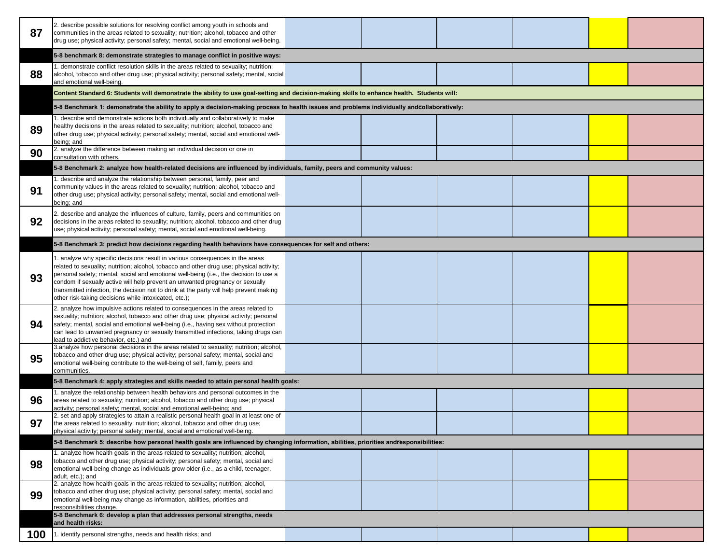| 87  | 2. describe possible solutions for resolving conflict among youth in schools and<br>communities in the areas related to sexuality; nutrition; alcohol, tobacco and other<br>drug use; physical activity; personal safety; mental, social and emotional well-being.                                                                                                                                                                                                                                     |  |  |
|-----|--------------------------------------------------------------------------------------------------------------------------------------------------------------------------------------------------------------------------------------------------------------------------------------------------------------------------------------------------------------------------------------------------------------------------------------------------------------------------------------------------------|--|--|
|     | 5-8 benchmark 8: demonstrate strategies to manage conflict in positive ways:                                                                                                                                                                                                                                                                                                                                                                                                                           |  |  |
| 88  | 1. demonstrate conflict resolution skills in the areas related to sexuality; nutrition;<br>alcohol, tobacco and other drug use; physical activity; personal safety; mental, social<br>and emotional well-being.                                                                                                                                                                                                                                                                                        |  |  |
|     | Content Standard 6: Students will demonstrate the ability to use goal-setting and decision-making skills to enhance health. Students will:                                                                                                                                                                                                                                                                                                                                                             |  |  |
|     | 5-8 Benchmark 1: demonstrate the ability to apply a decision-making process to health issues and problems individually andcollaboratively:                                                                                                                                                                                                                                                                                                                                                             |  |  |
| 89  | 1. describe and demonstrate actions both individually and collaboratively to make<br>healthy decisions in the areas related to sexuality; nutrition; alcohol, tobacco and<br>other drug use; physical activity; personal safety; mental, social and emotional well-                                                                                                                                                                                                                                    |  |  |
| 90  | being; and<br>2. analyze the difference between making an individual decision or one in<br>consultation with others.                                                                                                                                                                                                                                                                                                                                                                                   |  |  |
|     | 5-8 Benchmark 2: analyze how health-related decisions are influenced by individuals, family, peers and community values:                                                                                                                                                                                                                                                                                                                                                                               |  |  |
| 91  | 1. describe and analyze the relationship between personal, family, peer and<br>community values in the areas related to sexuality; nutrition; alcohol, tobacco and<br>other drug use; physical activity; personal safety; mental, social and emotional well-<br>being; and                                                                                                                                                                                                                             |  |  |
| 92  | 2. describe and analyze the influences of culture, family, peers and communities on<br>decisions in the areas related to sexuality; nutrition; alcohol, tobacco and other drug<br>use; physical activity; personal safety; mental, social and emotional well-being.                                                                                                                                                                                                                                    |  |  |
|     | 5-8 Benchmark 3: predict how decisions regarding health behaviors have consequences for self and others:                                                                                                                                                                                                                                                                                                                                                                                               |  |  |
| 93  | 1. analyze why specific decisions result in various consequences in the areas<br>related to sexuality; nutrition; alcohol, tobacco and other drug use; physical activity;<br>personal safety; mental, social and emotional well-being (i.e., the decision to use a<br>condom if sexually active will help prevent an unwanted pregnancy or sexually<br>transmitted infection, the decision not to drink at the party will help prevent making<br>other risk-taking decisions while intoxicated, etc.); |  |  |
| 94  | 2. analyze how impulsive actions related to consequences in the areas related to<br>sexuality; nutrition; alcohol, tobacco and other drug use; physical activity; personal<br>safety; mental, social and emotional well-being (i.e., having sex without protection<br>can lead to unwanted pregnancy or sexually transmitted infections, taking drugs can<br>lead to addictive behavior, etc.) and                                                                                                     |  |  |
| 95  | 3.analyze how personal decisions in the areas related to sexuality; nutrition; alcohol,<br>tobacco and other drug use; physical activity; personal safety; mental, social and<br>emotional well-being contribute to the well-being of self, family, peers and<br>communities.                                                                                                                                                                                                                          |  |  |
|     | 5-8 Benchmark 4: apply strategies and skills needed to attain personal health goals:                                                                                                                                                                                                                                                                                                                                                                                                                   |  |  |
| 96  | 1. analyze the relationship between health behaviors and personal outcomes in the<br>areas related to sexuality; nutrition; alcohol, tobacco and other drug use; physical<br>activity; personal safety; mental, social and emotional well-being; and                                                                                                                                                                                                                                                   |  |  |
| 97  | 2. set and apply strategies to attain a realistic personal health goal in at least one of<br>the areas related to sexuality; nutrition; alcohol, tobacco and other drug use;<br>physical activity; personal safety; mental, social and emotional well-being.                                                                                                                                                                                                                                           |  |  |
|     | 5-8 Benchmark 5: describe how personal health goals are influenced by changing information, abilities, priorities andresponsibilities:                                                                                                                                                                                                                                                                                                                                                                 |  |  |
| 98  | 1. analyze how health goals in the areas related to sexuality; nutrition; alcohol,<br>tobacco and other drug use; physical activity; personal safety; mental, social and<br>emotional well-being change as individuals grow older (i.e., as a child, teenager,<br>adult, etc.); and                                                                                                                                                                                                                    |  |  |
| 99  | 2. analyze how health goals in the areas related to sexuality; nutrition; alcohol,<br>tobacco and other drug use; physical activity; personal safety; mental, social and<br>emotional well-being may change as information, abilities, priorities and<br>responsibilities change.                                                                                                                                                                                                                      |  |  |
|     | 5-8 Benchmark 6: develop a plan that addresses personal strengths, needs<br>and health risks:                                                                                                                                                                                                                                                                                                                                                                                                          |  |  |
| 100 | 1. identify personal strengths, needs and health risks; and                                                                                                                                                                                                                                                                                                                                                                                                                                            |  |  |
|     |                                                                                                                                                                                                                                                                                                                                                                                                                                                                                                        |  |  |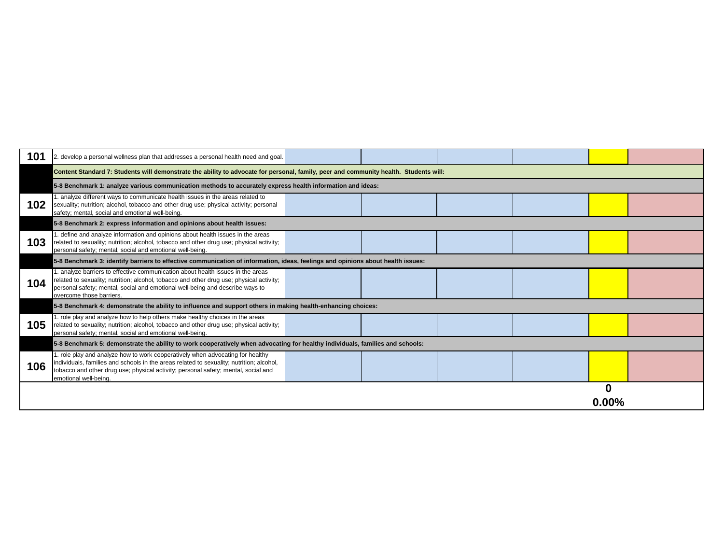| 101 | 2. develop a personal wellness plan that addresses a personal health need and goal.                                                                                                                                                                                                       |  |  |  |  |
|-----|-------------------------------------------------------------------------------------------------------------------------------------------------------------------------------------------------------------------------------------------------------------------------------------------|--|--|--|--|
|     | Content Standard 7: Students will demonstrate the ability to advocate for personal, family, peer and community health. Students will:                                                                                                                                                     |  |  |  |  |
|     | 5-8 Benchmark 1: analyze various communication methods to accurately express health information and ideas:                                                                                                                                                                                |  |  |  |  |
| 102 | 1. analyze different ways to communicate health issues in the areas related to<br>sexuality; nutrition; alcohol, tobacco and other drug use; physical activity; personal<br>safety; mental, social and emotional well-being.                                                              |  |  |  |  |
|     | 5-8 Benchmark 2: express information and opinions about health issues:                                                                                                                                                                                                                    |  |  |  |  |
| 103 | 1. define and analyze information and opinions about health issues in the areas<br>related to sexuality; nutrition; alcohol, tobacco and other drug use; physical activity;<br>personal safety; mental, social and emotional well-being.                                                  |  |  |  |  |
|     | 5-8 Benchmark 3: identify barriers to effective communication of information, ideas, feelings and opinions about health issues:                                                                                                                                                           |  |  |  |  |
| 104 | 1. analyze barriers to effective communication about health issues in the areas<br>related to sexuality; nutrition; alcohol, tobacco and other drug use; physical activity;<br>personal safety; mental, social and emotional well-being and describe ways to<br>overcome those barriers.  |  |  |  |  |
|     | 5-8 Benchmark 4: demonstrate the ability to influence and support others in making health-enhancing choices:                                                                                                                                                                              |  |  |  |  |
| 105 | 1. role play and analyze how to help others make healthy choices in the areas<br>related to sexuality; nutrition; alcohol, tobacco and other drug use; physical activity;<br>personal safety; mental, social and emotional well-being.                                                    |  |  |  |  |
|     | 5-8 Benchmark 5: demonstrate the ability to work cooperatively when advocating for healthy individuals, families and schools:                                                                                                                                                             |  |  |  |  |
| 106 | 1. role play and analyze how to work cooperatively when advocating for healthy<br>individuals, families and schools in the areas related to sexuality; nutrition; alcohol,<br>tobacco and other drug use; physical activity; personal safety; mental, social and<br>emotional well-being. |  |  |  |  |
|     |                                                                                                                                                                                                                                                                                           |  |  |  |  |

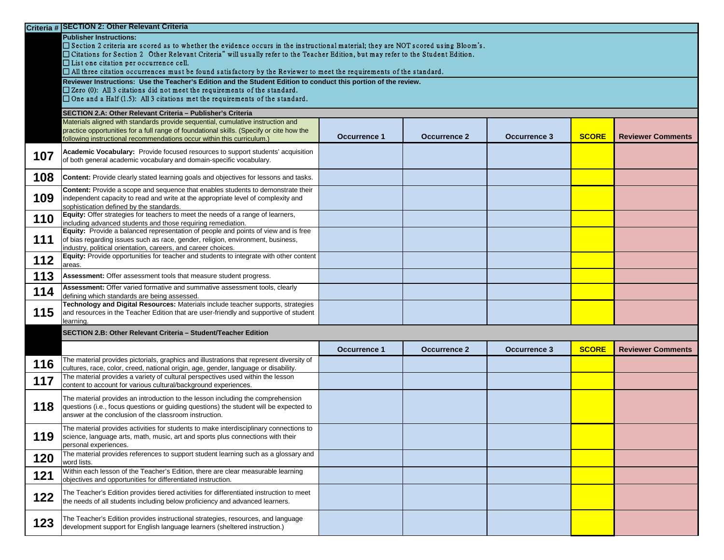|     | Criteria # SECTION 2: Other Relevant Criteria                                                                                                                                                                                                                                                                                                                                                                                                                                                    |                     |                     |                     |              |                          |  |
|-----|--------------------------------------------------------------------------------------------------------------------------------------------------------------------------------------------------------------------------------------------------------------------------------------------------------------------------------------------------------------------------------------------------------------------------------------------------------------------------------------------------|---------------------|---------------------|---------------------|--------------|--------------------------|--|
|     | <b>Publisher Instructions:</b><br>$\Box$ Section 2 criteria are scored as to whether the evidence occurs in the instructional material; they are NOT scored using Bloom's.<br>□ Citations for Section 2 Other Relevant Criteria" will usually refer to the Teacher Edition, but may refer to the Student Edition.<br>$\Box$ List one citation per occurrence cell.<br>$\Box$ All three citation occurrences must be found satisfactory by the Reviewer to meet the requirements of the standard. |                     |                     |                     |              |                          |  |
|     | Reviewer Instructions: Use the Teacher's Edition and the Student Edition to conduct this portion of the review.<br>$\square$ Zero (0): All 3 citations did not meet the requirements of the standard.<br>$\Box$ One and a Half (1.5): All 3 citations met the requirements of the standard.                                                                                                                                                                                                      |                     |                     |                     |              |                          |  |
|     | SECTION 2.A: Other Relevant Criteria - Publisher's Criteria                                                                                                                                                                                                                                                                                                                                                                                                                                      |                     |                     |                     |              |                          |  |
|     | Materials aligned with standards provide sequential, cumulative instruction and<br>practice opportunities for a full range of foundational skills. (Specify or cite how the<br>following instructional recommendations occur within this curriculum.)                                                                                                                                                                                                                                            | <b>Occurrence 1</b> | <b>Occurrence 2</b> | <b>Occurrence 3</b> | <b>SCORE</b> | <b>Reviewer Comments</b> |  |
| 107 | Academic Vocabulary: Provide focused resources to support students' acquisition<br>of both general academic vocabulary and domain-specific vocabulary.                                                                                                                                                                                                                                                                                                                                           |                     |                     |                     |              |                          |  |
| 108 | <b>Content:</b> Provide clearly stated learning goals and objectives for lessons and tasks.                                                                                                                                                                                                                                                                                                                                                                                                      |                     |                     |                     |              |                          |  |
| 109 | Content: Provide a scope and sequence that enables students to demonstrate their<br>independent capacity to read and write at the appropriate level of complexity and<br>sophistication defined by the standards.                                                                                                                                                                                                                                                                                |                     |                     |                     |              |                          |  |
| 110 | Equity: Offer strategies for teachers to meet the needs of a range of learners,<br>including advanced students and those requiring remediation.                                                                                                                                                                                                                                                                                                                                                  |                     |                     |                     |              |                          |  |
| 111 | Equity: Provide a balanced representation of people and points of view and is free<br>of bias regarding issues such as race, gender, religion, environment, business,<br>industry, political orientation, careers, and career choices.                                                                                                                                                                                                                                                           |                     |                     |                     |              |                          |  |
| 112 | Equity: Provide opportunities for teacher and students to integrate with other content<br>areas.                                                                                                                                                                                                                                                                                                                                                                                                 |                     |                     |                     |              |                          |  |
| 113 | Assessment: Offer assessment tools that measure student progress.                                                                                                                                                                                                                                                                                                                                                                                                                                |                     |                     |                     |              |                          |  |
| 114 | Assessment: Offer varied formative and summative assessment tools, clearly<br>defining which standards are being assessed.                                                                                                                                                                                                                                                                                                                                                                       |                     |                     |                     |              |                          |  |
| 115 | Technology and Digital Resources: Materials include teacher supports, strategies<br>and resources in the Teacher Edition that are user-friendly and supportive of student<br>learning.                                                                                                                                                                                                                                                                                                           |                     |                     |                     |              |                          |  |
|     | SECTION 2.B: Other Relevant Criteria - Student/Teacher Edition                                                                                                                                                                                                                                                                                                                                                                                                                                   |                     |                     |                     |              |                          |  |
|     |                                                                                                                                                                                                                                                                                                                                                                                                                                                                                                  | <b>Occurrence 1</b> | <b>Occurrence 2</b> | <b>Occurrence 3</b> | <b>SCORE</b> | <b>Reviewer Comments</b> |  |
| 116 | The material provides pictorials, graphics and illustrations that represent diversity of<br>cultures, race, color, creed, national origin, age, gender, language or disability.                                                                                                                                                                                                                                                                                                                  |                     |                     |                     |              |                          |  |
| 117 | The material provides a variety of cultural perspectives used within the lesson<br>content to account for various cultural/background experiences.                                                                                                                                                                                                                                                                                                                                               |                     |                     |                     |              |                          |  |
| 118 | The material provides an introduction to the lesson including the comprehension<br>questions (i.e., focus questions or guiding questions) the student will be expected to<br>answer at the conclusion of the classroom instruction.                                                                                                                                                                                                                                                              |                     |                     |                     |              |                          |  |
| 119 | The material provides activities for students to make interdisciplinary connections to<br>science, language arts, math, music, art and sports plus connections with their<br>personal experiences.                                                                                                                                                                                                                                                                                               |                     |                     |                     |              |                          |  |
| 120 | The material provides references to support student learning such as a glossary and<br>word lists.                                                                                                                                                                                                                                                                                                                                                                                               |                     |                     |                     |              |                          |  |
| 121 | Within each lesson of the Teacher's Edition, there are clear measurable learning<br>objectives and opportunities for differentiated instruction.                                                                                                                                                                                                                                                                                                                                                 |                     |                     |                     |              |                          |  |
| 122 | The Teacher's Edition provides tiered activities for differentiated instruction to meet<br>the needs of all students including below proficiency and advanced learners.                                                                                                                                                                                                                                                                                                                          |                     |                     |                     |              |                          |  |
| 123 | The Teacher's Edition provides instructional strategies, resources, and language<br>development support for English language learners (sheltered instruction.)                                                                                                                                                                                                                                                                                                                                   |                     |                     |                     |              |                          |  |

| <b>SCORE</b> | <b>Reviewer Comments</b> |
|--------------|--------------------------|
|              |                          |
|              |                          |
|              |                          |
|              |                          |
|              |                          |
|              |                          |
|              |                          |
|              |                          |
|              |                          |

| <b>SCORE</b> | <b>Reviewer Comments</b> |
|--------------|--------------------------|
|              |                          |
|              |                          |
|              |                          |
|              |                          |
|              |                          |
|              |                          |
|              |                          |
|              |                          |
|              |                          |
|              |                          |
|              |                          |